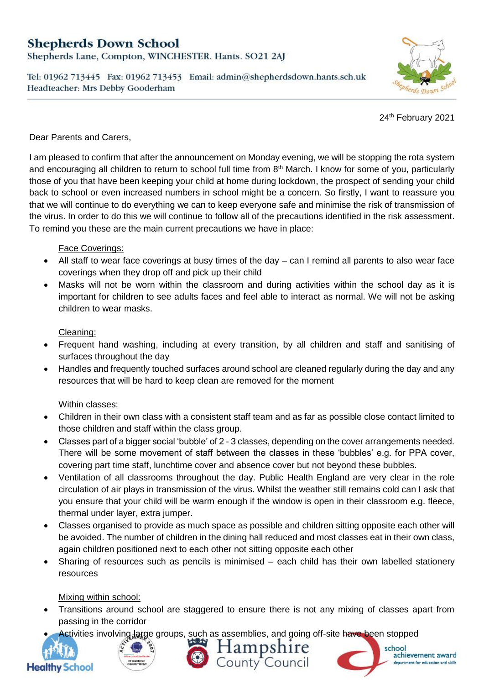# **Shepherds Down School**

Shepherds Lane, Compton, WINCHESTER. Hants. SO21 2AJ

Tel: 01962 713445 Fax: 01962 713453 Email: admin@shepherdsdown.hants.sch.uk Headteacher: Mrs Debby Gooderham



24<sup>th</sup> February 2021

#### Dear Parents and Carers,

I am pleased to confirm that after the announcement on Monday evening, we will be stopping the rota system and encouraging all children to return to school full time from 8<sup>th</sup> March. I know for some of you, particularly those of you that have been keeping your child at home during lockdown, the prospect of sending your child back to school or even increased numbers in school might be a concern. So firstly, I want to reassure you that we will continue to do everything we can to keep everyone safe and minimise the risk of transmission of the virus. In order to do this we will continue to follow all of the precautions identified in the risk assessment. To remind you these are the main current precautions we have in place:

### Face Coverings:

- All staff to wear face coverings at busy times of the day can I remind all parents to also wear face coverings when they drop off and pick up their child
- Masks will not be worn within the classroom and during activities within the school day as it is important for children to see adults faces and feel able to interact as normal. We will not be asking children to wear masks.

### Cleaning:

- Frequent hand washing, including at every transition, by all children and staff and sanitising of surfaces throughout the day
- Handles and frequently touched surfaces around school are cleaned regularly during the day and any resources that will be hard to keep clean are removed for the moment

### Within classes:

- Children in their own class with a consistent staff team and as far as possible close contact limited to those children and staff within the class group.
- Classes part of a bigger social 'bubble' of 2 3 classes, depending on the cover arrangements needed. There will be some movement of staff between the classes in these 'bubbles' e.g. for PPA cover, covering part time staff, lunchtime cover and absence cover but not beyond these bubbles.
- Ventilation of all classrooms throughout the day. Public Health England are very clear in the role circulation of air plays in transmission of the virus. Whilst the weather still remains cold can I ask that you ensure that your child will be warm enough if the window is open in their classroom e.g. fleece, thermal under layer, extra jumper.
- Classes organised to provide as much space as possible and children sitting opposite each other will be avoided. The number of children in the dining hall reduced and most classes eat in their own class, again children positioned next to each other not sitting opposite each other
- Sharing of resources such as pencils is minimised each child has their own labelled stationery resources

### Mixing within school:

- Transitions around school are staggered to ensure there is not any mixing of classes apart from passing in the corridor
- **Activities involving large groups, such as assemblies, and going off-site have been stopped**







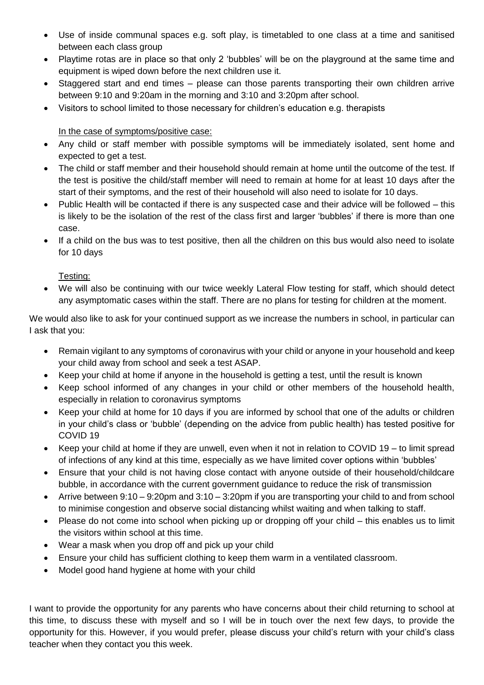- Use of inside communal spaces e.g. soft play, is timetabled to one class at a time and sanitised between each class group
- Playtime rotas are in place so that only 2 'bubbles' will be on the playground at the same time and equipment is wiped down before the next children use it.
- Staggered start and end times please can those parents transporting their own children arrive between 9:10 and 9:20am in the morning and 3:10 and 3:20pm after school.
- Visitors to school limited to those necessary for children's education e.g. therapists

## In the case of symptoms/positive case:

- Any child or staff member with possible symptoms will be immediately isolated, sent home and expected to get a test.
- The child or staff member and their household should remain at home until the outcome of the test. If the test is positive the child/staff member will need to remain at home for at least 10 days after the start of their symptoms, and the rest of their household will also need to isolate for 10 days.
- Public Health will be contacted if there is any suspected case and their advice will be followed this is likely to be the isolation of the rest of the class first and larger 'bubbles' if there is more than one case.
- If a child on the bus was to test positive, then all the children on this bus would also need to isolate for 10 days

### Testing:

 We will also be continuing with our twice weekly Lateral Flow testing for staff, which should detect any asymptomatic cases within the staff. There are no plans for testing for children at the moment.

We would also like to ask for your continued support as we increase the numbers in school, in particular can I ask that you:

- Remain vigilant to any symptoms of coronavirus with your child or anyone in your household and keep your child away from school and seek a test ASAP.
- Keep your child at home if anyone in the household is getting a test, until the result is known
- Keep school informed of any changes in your child or other members of the household health, especially in relation to coronavirus symptoms
- Keep your child at home for 10 days if you are informed by school that one of the adults or children in your child's class or 'bubble' (depending on the advice from public health) has tested positive for COVID 19
- Keep your child at home if they are unwell, even when it not in relation to COVID 19 to limit spread of infections of any kind at this time, especially as we have limited cover options within 'bubbles'
- Ensure that your child is not having close contact with anyone outside of their household/childcare bubble, in accordance with the current government guidance to reduce the risk of transmission
- Arrive between 9:10 9:20pm and 3:10 3:20pm if you are transporting your child to and from school to minimise congestion and observe social distancing whilst waiting and when talking to staff.
- Please do not come into school when picking up or dropping off your child this enables us to limit the visitors within school at this time.
- Wear a mask when you drop off and pick up your child
- Ensure your child has sufficient clothing to keep them warm in a ventilated classroom.
- Model good hand hygiene at home with your child

I want to provide the opportunity for any parents who have concerns about their child returning to school at this time, to discuss these with myself and so I will be in touch over the next few days, to provide the opportunity for this. However, if you would prefer, please discuss your child's return with your child's class teacher when they contact you this week.